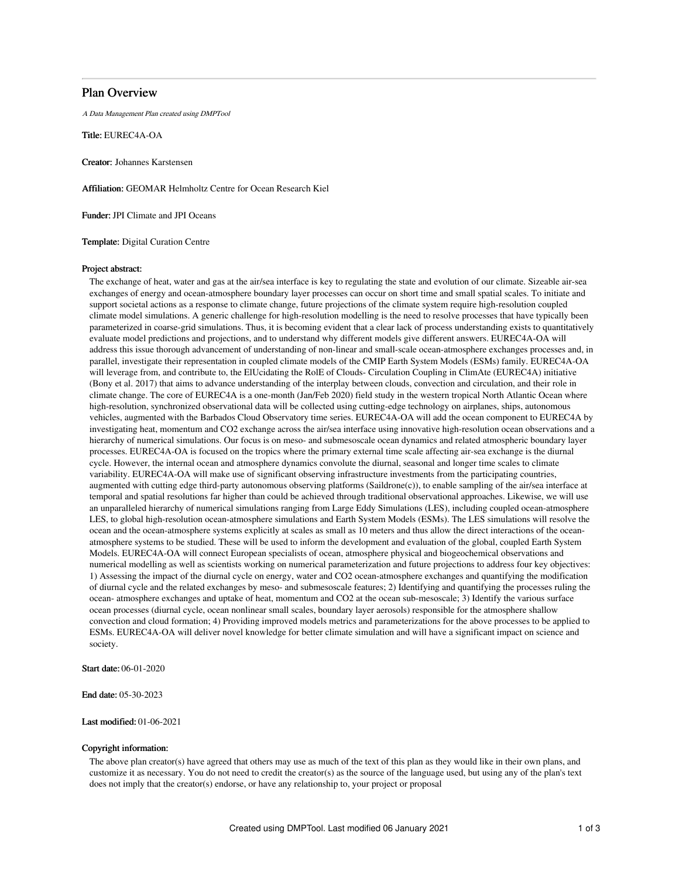# Plan Overview

A Data Management Plan created using DMPTool

Title: EUREC4A-OA

Creator: Johannes Karstensen

Affiliation: GEOMAR Helmholtz Centre for Ocean Research Kiel

Funder: JPI Climate and JPI Oceans

Template: Digital Curation Centre

# Project abstract:

The exchange of heat, water and gas at the air/sea interface is key to regulating the state and evolution of our climate. Sizeable air-sea exchanges of energy and ocean-atmosphere boundary layer processes can occur on short time and small spatial scales. To initiate and support societal actions as a response to climate change, future projections of the climate system require high-resolution coupled climate model simulations. A generic challenge for high-resolution modelling is the need to resolve processes that have typically been parameterized in coarse-grid simulations. Thus, it is becoming evident that a clear lack of process understanding exists to quantitatively evaluate model predictions and projections, and to understand why different models give different answers. EUREC4A-OA will address this issue thorough advancement of understanding of non-linear and small-scale ocean-atmosphere exchanges processes and, in parallel, investigate their representation in coupled climate models of the CMIP Earth System Models (ESMs) family. EUREC4A-OA will leverage from, and contribute to, the ElUcidating the RolE of Clouds- Circulation Coupling in ClimAte (EUREC4A) initiative (Bony et al. 2017) that aims to advance understanding of the interplay between clouds, convection and circulation, and their role in climate change. The core of EUREC4A is a one-month (Jan/Feb 2020) field study in the western tropical North Atlantic Ocean where high-resolution, synchronized observational data will be collected using cutting-edge technology on airplanes, ships, autonomous vehicles, augmented with the Barbados Cloud Observatory time series. EUREC4A-OA will add the ocean component to EUREC4A by investigating heat, momentum and CO2 exchange across the air/sea interface using innovative high-resolution ocean observations and a hierarchy of numerical simulations. Our focus is on meso- and submesoscale ocean dynamics and related atmospheric boundary layer processes. EUREC4A-OA is focused on the tropics where the primary external time scale affecting air-sea exchange is the diurnal cycle. However, the internal ocean and atmosphere dynamics convolute the diurnal, seasonal and longer time scales to climate variability. EUREC4A-OA will make use of significant observing infrastructure investments from the participating countries, augmented with cutting edge third-party autonomous observing platforms (Saildrone(c)), to enable sampling of the air/sea interface at temporal and spatial resolutions far higher than could be achieved through traditional observational approaches. Likewise, we will use an unparalleled hierarchy of numerical simulations ranging from Large Eddy Simulations (LES), including coupled ocean-atmosphere LES, to global high-resolution ocean-atmosphere simulations and Earth System Models (ESMs). The LES simulations will resolve the ocean and the ocean-atmosphere systems explicitly at scales as small as 10 meters and thus allow the direct interactions of the oceanatmosphere systems to be studied. These will be used to inform the development and evaluation of the global, coupled Earth System Models. EUREC4A-OA will connect European specialists of ocean, atmosphere physical and biogeochemical observations and numerical modelling as well as scientists working on numerical parameterization and future projections to address four key objectives: 1) Assessing the impact of the diurnal cycle on energy, water and CO2 ocean-atmosphere exchanges and quantifying the modification of diurnal cycle and the related exchanges by meso- and submesoscale features; 2) Identifying and quantifying the processes ruling the ocean- atmosphere exchanges and uptake of heat, momentum and CO2 at the ocean sub-mesoscale; 3) Identify the various surface ocean processes (diurnal cycle, ocean nonlinear small scales, boundary layer aerosols) responsible for the atmosphere shallow convection and cloud formation; 4) Providing improved models metrics and parameterizations for the above processes to be applied to ESMs. EUREC4A-OA will deliver novel knowledge for better climate simulation and will have a significant impact on science and society.

Start date: 06-01-2020

End date: 05-30-2023

# Last modified: 01-06-2021

# Copyright information:

The above plan creator(s) have agreed that others may use as much of the text of this plan as they would like in their own plans, and customize it as necessary. You do not need to credit the creator(s) as the source of the language used, but using any of the plan's text does not imply that the creator(s) endorse, or have any relationship to, your project or proposal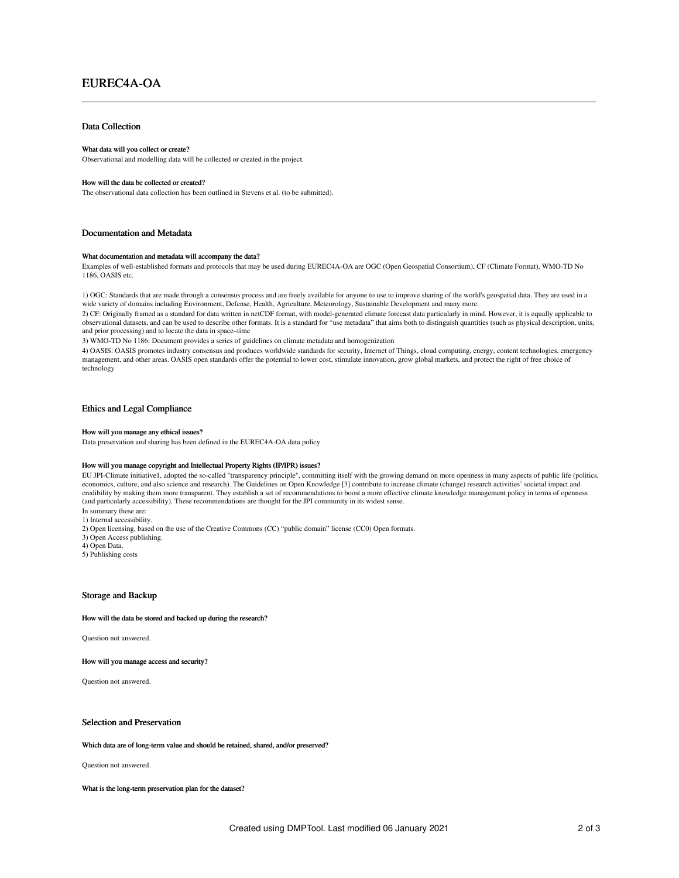# EUREC4A-OA

# Data Collection

#### What data will you collect or create?

Observational and modelling data will be collected or created in the project.

#### How will the data be collected or created?

The observational data collection has been outlined in Stevens et al. (to be submitted).

### Documentation and Metadata

#### What documentation and metadata will accompany the data?

Examples of well-established formats and protocols that may be used during EUREC4A-OA are OGC (Open Geospatial Consortium), CF (Climate Format), WMO-TD No 1186, OASIS etc.

1) OGC: Standards that are made through a consensus process and are freely available for anyone to use to improve sharing of the world's geospatial data. They are used in a wide variety of domains including Environment, Defense, Health, Agriculture, Meteorology, Sustainable Development and many more.

2) CF: Originally framed as a standard for data written in netCDF format, with model-generated climate forecast data particularly in mind. However, it is equally applicable to observational datasets, and can be used to describe other formats. It is a standard for "use metadata" that aims both to distinguish quantities (such as physical description, units, and prior processing) and to locate the data in space–time

3) WMO-TD No 1186: Document provides a series of guidelines on climate metadata and homogenization

4) OASIS: OASIS promotes industry consensus and produces worldwide standards for security, Internet of Things, cloud computing, energy, content technologies, emergency management, and other areas. OASIS open standards offer the potential to lower cost, stimulate innovation, grow global markets, and protect the right of free choice of technology

# Ethics and Legal Compliance

#### How will you manage any ethical issues?

Data preservation and sharing has been defined in the EUREC4A-OA data policy

#### How will you manage copyright and Intellectual Property Rights (IP/IPR) issues?

EU JPI-Climate initiative1, adopted the so-called "transparency principle", committing itself with the growing demand on more openness in many aspects of public life (politics, economics, culture, and also science and research). The Guidelines on Open Knowledge [3] contribute to increase climate (change) research activities' societal impact and credibility by making them more transparent. They establish a set of recommendations to boost a more effective climate knowledge management policy in terms of openness (and particularly accessibility). These recommendations are thought for the JPI community in its widest sense.

- In summary these are: 1) Internal accessibility.
- 2) Open licensing, based on the use of the Creative Commons (CC) "public domain" license (CC0) Open formats.
- 3) Open Access publishing.
- 
- 4) Open Data.
- 5) Publishing costs

# Storage and Backup

#### How will the data be stored and backed up during the research?

Question not answered.

How will you manage access and security?

Question not answered.

#### Selection and Preservation

#### Which data are of long-term value and should be retained, shared, and/or preserved?

Question not answered.

What is the long-term preservation plan for the dataset?